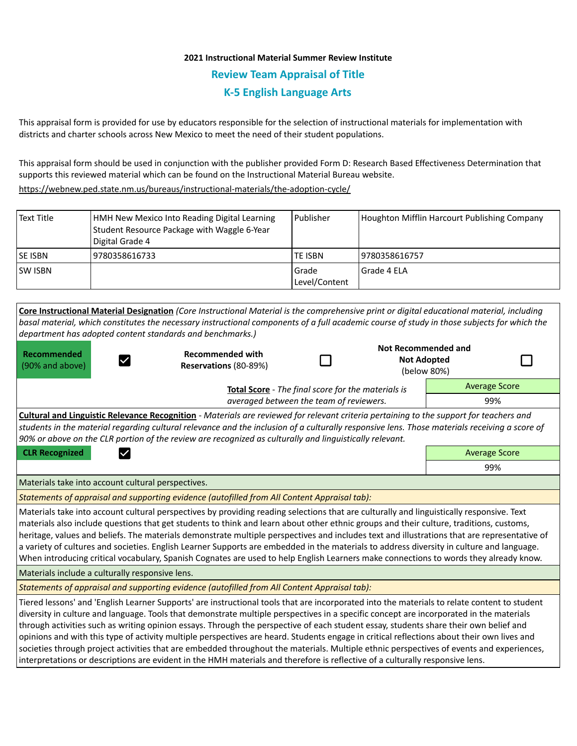## **2021 Instructional Material Summer Review Institute Review Team Appraisal of Title K-5 English Language Arts**

This appraisal form is provided for use by educators responsible for the selection of instructional materials for implementation with districts and charter schools across New Mexico to meet the need of their student populations.

This appraisal form should be used in conjunction with the publisher provided Form D: Research Based Effectiveness Determination that supports this reviewed material which can be found on the Instructional Material Bureau website.

<https://webnew.ped.state.nm.us/bureaus/instructional-materials/the-adoption-cycle/>

| Text Title     | HMH New Mexico Into Reading Digital Learning<br>Student Resource Package with Waggle 6-Year<br>Digital Grade 4 | l Publisher              | Houghton Mifflin Harcourt Publishing Company |
|----------------|----------------------------------------------------------------------------------------------------------------|--------------------------|----------------------------------------------|
| <b>SE ISBN</b> | 9780358616733                                                                                                  | TE ISBN                  | 9780358616757                                |
| <b>SW ISBN</b> |                                                                                                                | l Grade<br>Level/Content | l Grade 4 ELA                                |

| department has adopted content standards and benchmarks.)                                                                                                                                                                                                                                                                                                                                                                                                                                                                                                                                                                                                                                                                                                                                                                                                   | Core Instructional Material Designation (Core Instructional Material is the comprehensive print or digital educational material, including<br>basal material, which constitutes the necessary instructional components of a full academic course of study in those subjects for which the |     |                                                  |                      |  |  |  |
|-------------------------------------------------------------------------------------------------------------------------------------------------------------------------------------------------------------------------------------------------------------------------------------------------------------------------------------------------------------------------------------------------------------------------------------------------------------------------------------------------------------------------------------------------------------------------------------------------------------------------------------------------------------------------------------------------------------------------------------------------------------------------------------------------------------------------------------------------------------|-------------------------------------------------------------------------------------------------------------------------------------------------------------------------------------------------------------------------------------------------------------------------------------------|-----|--------------------------------------------------|----------------------|--|--|--|
| Recommended<br>(90% and above)                                                                                                                                                                                                                                                                                                                                                                                                                                                                                                                                                                                                                                                                                                                                                                                                                              | <b>Recommended with</b><br>Reservations (80-89%)                                                                                                                                                                                                                                          |     | <b>Not Recommended and</b><br><b>Not Adopted</b> | (below 80%)          |  |  |  |
|                                                                                                                                                                                                                                                                                                                                                                                                                                                                                                                                                                                                                                                                                                                                                                                                                                                             | Total Score - The final score for the materials is                                                                                                                                                                                                                                        |     |                                                  | <b>Average Score</b> |  |  |  |
| averaged between the team of reviewers.                                                                                                                                                                                                                                                                                                                                                                                                                                                                                                                                                                                                                                                                                                                                                                                                                     |                                                                                                                                                                                                                                                                                           |     |                                                  | 99%                  |  |  |  |
| Cultural and Linguistic Relevance Recognition - Materials are reviewed for relevant criteria pertaining to the support for teachers and<br>students in the material regarding cultural relevance and the inclusion of a culturally responsive lens. Those materials receiving a score of<br>90% or above on the CLR portion of the review are recognized as culturally and linguistically relevant.                                                                                                                                                                                                                                                                                                                                                                                                                                                         |                                                                                                                                                                                                                                                                                           |     |                                                  |                      |  |  |  |
| <b>CLR Recognized</b>                                                                                                                                                                                                                                                                                                                                                                                                                                                                                                                                                                                                                                                                                                                                                                                                                                       |                                                                                                                                                                                                                                                                                           |     |                                                  | <b>Average Score</b> |  |  |  |
|                                                                                                                                                                                                                                                                                                                                                                                                                                                                                                                                                                                                                                                                                                                                                                                                                                                             |                                                                                                                                                                                                                                                                                           | 99% |                                                  |                      |  |  |  |
| Materials take into account cultural perspectives.                                                                                                                                                                                                                                                                                                                                                                                                                                                                                                                                                                                                                                                                                                                                                                                                          |                                                                                                                                                                                                                                                                                           |     |                                                  |                      |  |  |  |
| Statements of appraisal and supporting evidence (autofilled from All Content Appraisal tab):                                                                                                                                                                                                                                                                                                                                                                                                                                                                                                                                                                                                                                                                                                                                                                |                                                                                                                                                                                                                                                                                           |     |                                                  |                      |  |  |  |
| Materials take into account cultural perspectives by providing reading selections that are culturally and linguistically responsive. Text<br>materials also include questions that get students to think and learn about other ethnic groups and their culture, traditions, customs,<br>heritage, values and beliefs. The materials demonstrate multiple perspectives and includes text and illustrations that are representative of<br>a variety of cultures and societies. English Learner Supports are embedded in the materials to address diversity in culture and language.<br>When introducing critical vocabulary, Spanish Cognates are used to help English Learners make connections to words they already know.                                                                                                                                  |                                                                                                                                                                                                                                                                                           |     |                                                  |                      |  |  |  |
| Materials include a culturally responsive lens.                                                                                                                                                                                                                                                                                                                                                                                                                                                                                                                                                                                                                                                                                                                                                                                                             |                                                                                                                                                                                                                                                                                           |     |                                                  |                      |  |  |  |
| Statements of appraisal and supporting evidence (autofilled from All Content Appraisal tab):                                                                                                                                                                                                                                                                                                                                                                                                                                                                                                                                                                                                                                                                                                                                                                |                                                                                                                                                                                                                                                                                           |     |                                                  |                      |  |  |  |
| Tiered lessons' and 'English Learner Supports' are instructional tools that are incorporated into the materials to relate content to student<br>diversity in culture and language. Tools that demonstrate multiple perspectives in a specific concept are incorporated in the materials<br>through activities such as writing opinion essays. Through the perspective of each student essay, students share their own belief and<br>opinions and with this type of activity multiple perspectives are heard. Students engage in critical reflections about their own lives and<br>societies through project activities that are embedded throughout the materials. Multiple ethnic perspectives of events and experiences,<br>interpretations or descriptions are evident in the HMH materials and therefore is reflective of a culturally responsive lens. |                                                                                                                                                                                                                                                                                           |     |                                                  |                      |  |  |  |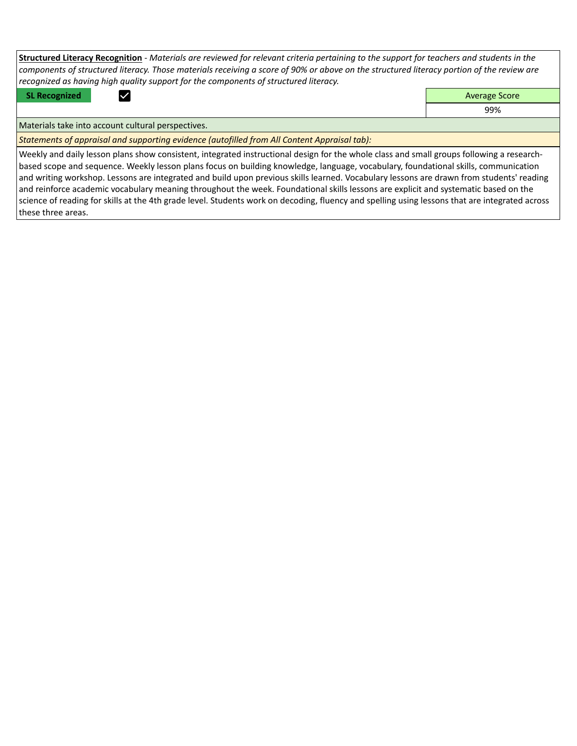**Structured Literacy Recognition** - *Materials are reviewed for relevant criteria pertaining to the support for teachers and students in the components of structured literacy. Those materials receiving a score of 90% or above on the structured literacy portion of the review are recognized as having high quality support for the components of structured literacy.*

**SL Recognized Average Score** Average Score and Average Score and Average Score and Average Score and Average Score

99%

Materials take into account cultural perspectives.

*Statements of appraisal and supporting evidence (autofilled from All Content Appraisal tab):* 

Weekly and daily lesson plans show consistent, integrated instructional design for the whole class and small groups following a researchbased scope and sequence. Weekly lesson plans focus on building knowledge, language, vocabulary, foundational skills, communication and writing workshop. Lessons are integrated and build upon previous skills learned. Vocabulary lessons are drawn from students' reading and reinforce academic vocabulary meaning throughout the week. Foundational skills lessons are explicit and systematic based on the science of reading for skills at the 4th grade level. Students work on decoding, fluency and spelling using lessons that are integrated across these three areas.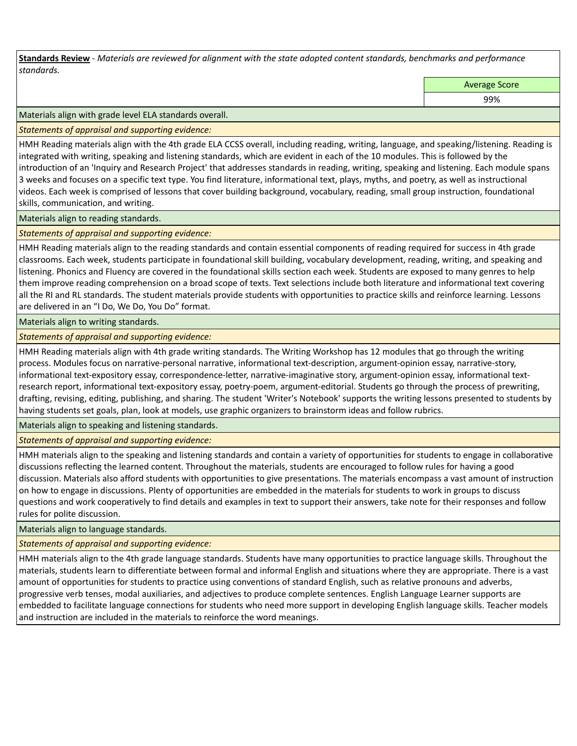**Standards Review** *- Materials are reviewed for alignment with the state adopted content standards, benchmarks and performance standards.*

Average Score

99%

Materials align with grade level ELA standards overall.

*Statements of appraisal and supporting evidence:* 

HMH Reading materials align with the 4th grade ELA CCSS overall, including reading, writing, language, and speaking/listening. Reading is integrated with writing, speaking and listening standards, which are evident in each of the 10 modules. This is followed by the introduction of an 'Inquiry and Research Project' that addresses standards in reading, writing, speaking and listening. Each module spans 3 weeks and focuses on a specific text type. You find literature, informational text, plays, myths, and poetry, as well as instructional videos. Each week is comprised of lessons that cover building background, vocabulary, reading, small group instruction, foundational skills, communication, and writing.

Materials align to reading standards.

*Statements of appraisal and supporting evidence:* 

HMH Reading materials align to the reading standards and contain essential components of reading required for success in 4th grade classrooms. Each week, students participate in foundational skill building, vocabulary development, reading, writing, and speaking and listening. Phonics and Fluency are covered in the foundational skills section each week. Students are exposed to many genres to help them improve reading comprehension on a broad scope of texts. Text selections include both literature and informational text covering all the RI and RL standards. The student materials provide students with opportunities to practice skills and reinforce learning. Lessons are delivered in an "I Do, We Do, You Do" format.

Materials align to writing standards.

*Statements of appraisal and supporting evidence:* 

HMH Reading materials align with 4th grade writing standards. The Writing Workshop has 12 modules that go through the writing process. Modules focus on narrative-personal narrative, informational text-description, argument-opinion essay, narrative-story, informational text-expository essay, correspondence-letter, narrative-imaginative story, argument-opinion essay, informational textresearch report, informational text-expository essay, poetry-poem, argument-editorial. Students go through the process of prewriting, drafting, revising, editing, publishing, and sharing. The student 'Writer's Notebook' supports the writing lessons presented to students by having students set goals, plan, look at models, use graphic organizers to brainstorm ideas and follow rubrics.

Materials align to speaking and listening standards.

*Statements of appraisal and supporting evidence:* 

HMH materials align to the speaking and listening standards and contain a variety of opportunities for students to engage in collaborative discussions reflecting the learned content. Throughout the materials, students are encouraged to follow rules for having a good discussion. Materials also afford students with opportunities to give presentations. The materials encompass a vast amount of instruction on how to engage in discussions. Plenty of opportunities are embedded in the materials for students to work in groups to discuss questions and work cooperatively to find details and examples in text to support their answers, take note for their responses and follow rules for polite discussion.

Materials align to language standards.

*Statements of appraisal and supporting evidence:* 

HMH materials align to the 4th grade language standards. Students have many opportunities to practice language skills. Throughout the materials, students learn to differentiate between formal and informal English and situations where they are appropriate. There is a vast amount of opportunities for students to practice using conventions of standard English, such as relative pronouns and adverbs, progressive verb tenses, modal auxiliaries, and adjectives to produce complete sentences. English Language Learner supports are embedded to facilitate language connections for students who need more support in developing English language skills. Teacher models and instruction are included in the materials to reinforce the word meanings.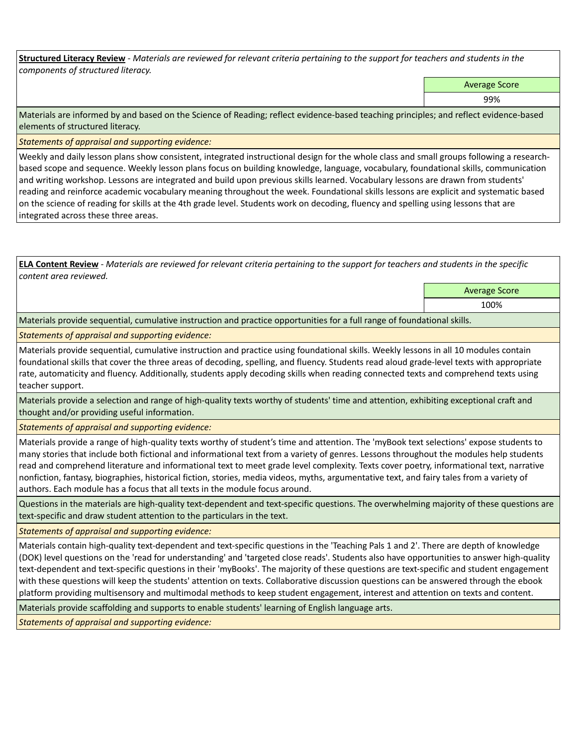**Structured Literacy Review** *- Materials are reviewed for relevant criteria pertaining to the support for teachers and students in the components of structured literacy.*

Average Score

99%

Materials are informed by and based on the Science of Reading; reflect evidence-based teaching principles; and reflect evidence-based elements of structured literacy.

*Statements of appraisal and supporting evidence:*

Weekly and daily lesson plans show consistent, integrated instructional design for the whole class and small groups following a researchbased scope and sequence. Weekly lesson plans focus on building knowledge, language, vocabulary, foundational skills, communication and writing workshop. Lessons are integrated and build upon previous skills learned. Vocabulary lessons are drawn from students' reading and reinforce academic vocabulary meaning throughout the week. Foundational skills lessons are explicit and systematic based on the science of reading for skills at the 4th grade level. Students work on decoding, fluency and spelling using lessons that are integrated across these three areas.

**ELA Content Review** *- Materials are reviewed for relevant criteria pertaining to the support for teachers and students in the specific content area reviewed.*

> Average Score 100%

Materials provide sequential, cumulative instruction and practice opportunities for a full range of foundational skills.

*Statements of appraisal and supporting evidence:* 

Materials provide sequential, cumulative instruction and practice using foundational skills. Weekly lessons in all 10 modules contain foundational skills that cover the three areas of decoding, spelling, and fluency. Students read aloud grade-level texts with appropriate rate, automaticity and fluency. Additionally, students apply decoding skills when reading connected texts and comprehend texts using teacher support.

Materials provide a selection and range of high-quality texts worthy of students' time and attention, exhibiting exceptional craft and thought and/or providing useful information.

*Statements of appraisal and supporting evidence:* 

Materials provide a range of high-quality texts worthy of student's time and attention. The 'myBook text selections' expose students to many stories that include both fictional and informational text from a variety of genres. Lessons throughout the modules help students read and comprehend literature and informational text to meet grade level complexity. Texts cover poetry, informational text, narrative nonfiction, fantasy, biographies, historical fiction, stories, media videos, myths, argumentative text, and fairy tales from a variety of authors. Each module has a focus that all texts in the module focus around.

Questions in the materials are high-quality text-dependent and text-specific questions. The overwhelming majority of these questions are text-specific and draw student attention to the particulars in the text.

*Statements of appraisal and supporting evidence:* 

Materials contain high-quality text-dependent and text-specific questions in the 'Teaching Pals 1 and 2'. There are depth of knowledge (DOK) level questions on the 'read for understanding' and 'targeted close reads'. Students also have opportunities to answer high-quality text-dependent and text-specific questions in their 'myBooks'. The majority of these questions are text-specific and student engagement with these questions will keep the students' attention on texts. Collaborative discussion questions can be answered through the ebook platform providing multisensory and multimodal methods to keep student engagement, interest and attention on texts and content.

Materials provide scaffolding and supports to enable students' learning of English language arts.

*Statements of appraisal and supporting evidence:*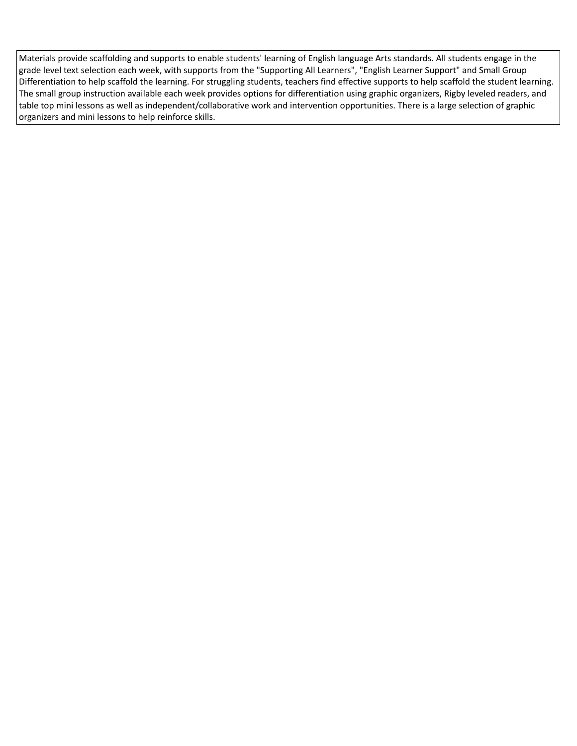Materials provide scaffolding and supports to enable students' learning of English language Arts standards. All students engage in the grade level text selection each week, with supports from the "Supporting All Learners", "English Learner Support" and Small Group Differentiation to help scaffold the learning. For struggling students, teachers find effective supports to help scaffold the student learning. The small group instruction available each week provides options for differentiation using graphic organizers, Rigby leveled readers, and table top mini lessons as well as independent/collaborative work and intervention opportunities. There is a large selection of graphic organizers and mini lessons to help reinforce skills.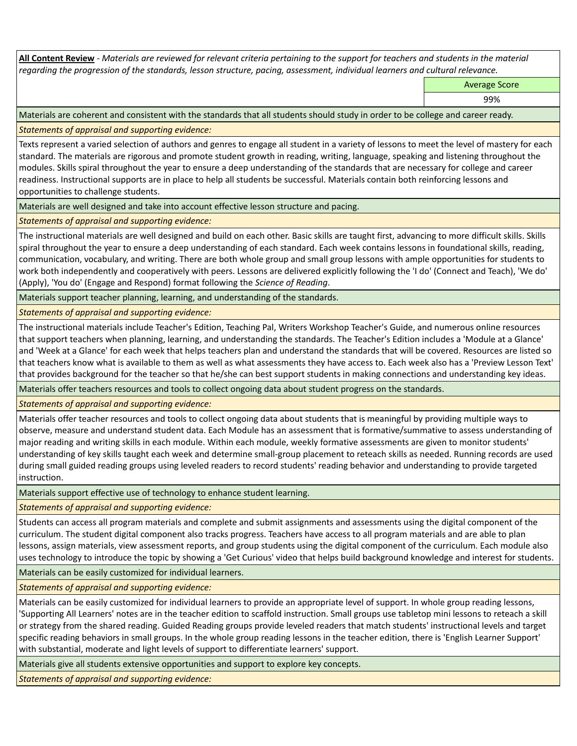**All Content Review** *- Materials are reviewed for relevant criteria pertaining to the support for teachers and students in the material regarding the progression of the standards, lesson structure, pacing, assessment, individual learners and cultural relevance.*

Average Score

99%

Materials are coherent and consistent with the standards that all students should study in order to be college and career ready.

*Statements of appraisal and supporting evidence:*

Texts represent a varied selection of authors and genres to engage all student in a variety of lessons to meet the level of mastery for each standard. The materials are rigorous and promote student growth in reading, writing, language, speaking and listening throughout the modules. Skills spiral throughout the year to ensure a deep understanding of the standards that are necessary for college and career readiness. Instructional supports are in place to help all students be successful. Materials contain both reinforcing lessons and opportunities to challenge students.

Materials are well designed and take into account effective lesson structure and pacing.

*Statements of appraisal and supporting evidence:*

The instructional materials are well designed and build on each other. Basic skills are taught first, advancing to more difficult skills. Skills spiral throughout the year to ensure a deep understanding of each standard. Each week contains lessons in foundational skills, reading, communication, vocabulary, and writing. There are both whole group and small group lessons with ample opportunities for students to work both independently and cooperatively with peers. Lessons are delivered explicitly following the 'I do' (Connect and Teach), 'We do' (Apply), 'You do' (Engage and Respond) format following the *Science of Reading*.

Materials support teacher planning, learning, and understanding of the standards.

*Statements of appraisal and supporting evidence:*

The instructional materials include Teacher's Edition, Teaching Pal, Writers Workshop Teacher's Guide, and numerous online resources that support teachers when planning, learning, and understanding the standards. The Teacher's Edition includes a 'Module at a Glance' and 'Week at a Glance' for each week that helps teachers plan and understand the standards that will be covered. Resources are listed so that teachers know what is available to them as well as what assessments they have access to. Each week also has a 'Preview Lesson Text' that provides background for the teacher so that he/she can best support students in making connections and understanding key ideas.

Materials offer teachers resources and tools to collect ongoing data about student progress on the standards.

*Statements of appraisal and supporting evidence:*

Materials offer teacher resources and tools to collect ongoing data about students that is meaningful by providing multiple ways to observe, measure and understand student data. Each Module has an assessment that is formative/summative to assess understanding of major reading and writing skills in each module. Within each module, weekly formative assessments are given to monitor students' understanding of key skills taught each week and determine small-group placement to reteach skills as needed. Running records are used during small guided reading groups using leveled readers to record students' reading behavior and understanding to provide targeted instruction.

Materials support effective use of technology to enhance student learning.

*Statements of appraisal and supporting evidence:*

Students can access all program materials and complete and submit assignments and assessments using the digital component of the curriculum. The student digital component also tracks progress. Teachers have access to all program materials and are able to plan lessons, assign materials, view assessment reports, and group students using the digital component of the curriculum. Each module also uses technology to introduce the topic by showing a 'Get Curious' video that helps build background knowledge and interest for students.

Materials can be easily customized for individual learners.

*Statements of appraisal and supporting evidence:* 

Materials can be easily customized for individual learners to provide an appropriate level of support. In whole group reading lessons, 'Supporting All Learners' notes are in the teacher edition to scaffold instruction. Small groups use tabletop mini lessons to reteach a skill or strategy from the shared reading. Guided Reading groups provide leveled readers that match students' instructional levels and target specific reading behaviors in small groups. In the whole group reading lessons in the teacher edition, there is 'English Learner Support' with substantial, moderate and light levels of support to differentiate learners' support.

Materials give all students extensive opportunities and support to explore key concepts.

*Statements of appraisal and supporting evidence:*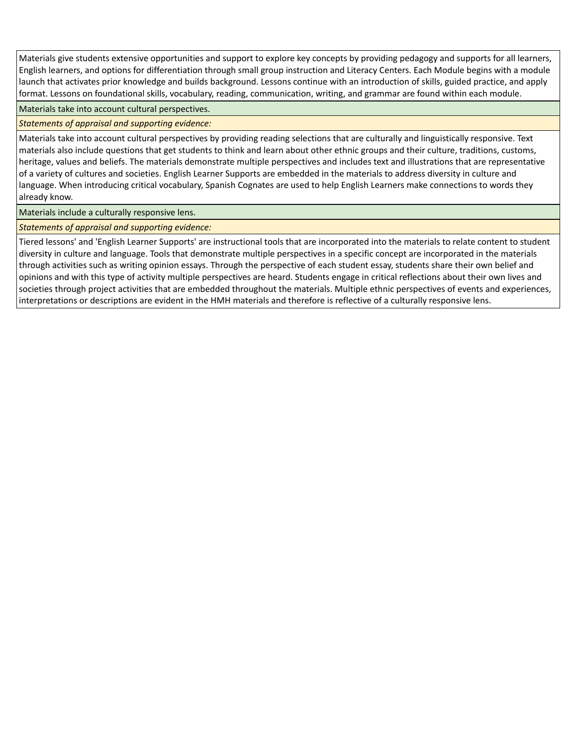Materials give students extensive opportunities and support to explore key concepts by providing pedagogy and supports for all learners, English learners, and options for differentiation through small group instruction and Literacy Centers. Each Module begins with a module launch that activates prior knowledge and builds background. Lessons continue with an introduction of skills, guided practice, and apply format. Lessons on foundational skills, vocabulary, reading, communication, writing, and grammar are found within each module.

Materials take into account cultural perspectives.

*Statements of appraisal and supporting evidence:*

Materials take into account cultural perspectives by providing reading selections that are culturally and linguistically responsive. Text materials also include questions that get students to think and learn about other ethnic groups and their culture, traditions, customs, heritage, values and beliefs. The materials demonstrate multiple perspectives and includes text and illustrations that are representative of a variety of cultures and societies. English Learner Supports are embedded in the materials to address diversity in culture and language. When introducing critical vocabulary, Spanish Cognates are used to help English Learners make connections to words they already know.

Materials include a culturally responsive lens.

*Statements of appraisal and supporting evidence:*

Tiered lessons' and 'English Learner Supports' are instructional tools that are incorporated into the materials to relate content to student diversity in culture and language. Tools that demonstrate multiple perspectives in a specific concept are incorporated in the materials through activities such as writing opinion essays. Through the perspective of each student essay, students share their own belief and opinions and with this type of activity multiple perspectives are heard. Students engage in critical reflections about their own lives and societies through project activities that are embedded throughout the materials. Multiple ethnic perspectives of events and experiences, interpretations or descriptions are evident in the HMH materials and therefore is reflective of a culturally responsive lens.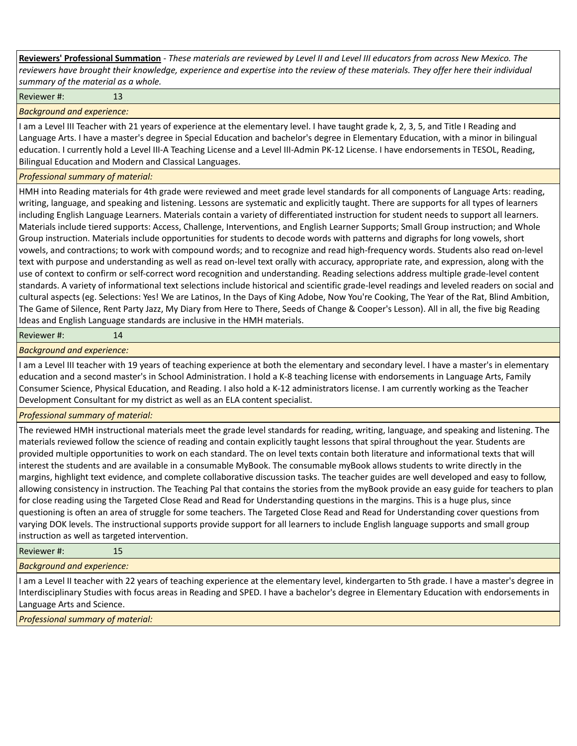**Reviewers' Professional Summation** *- These materials are reviewed by Level II and Level III educators from across New Mexico. The reviewers have brought their knowledge, experience and expertise into the review of these materials. They offer here their individual summary of the material as a whole.*

Reviewer #: 13

*Background and experience:*

I am a Level III Teacher with 21 years of experience at the elementary level. I have taught grade k, 2, 3, 5, and Title I Reading and Language Arts. I have a master's degree in Special Education and bachelor's degree in Elementary Education, with a minor in bilingual education. I currently hold a Level III-A Teaching License and a Level III-Admin PK-12 License. I have endorsements in TESOL, Reading, Bilingual Education and Modern and Classical Languages.

## *Professional summary of material:*

HMH into Reading materials for 4th grade were reviewed and meet grade level standards for all components of Language Arts: reading, writing, language, and speaking and listening. Lessons are systematic and explicitly taught. There are supports for all types of learners including English Language Learners. Materials contain a variety of differentiated instruction for student needs to support all learners. Materials include tiered supports: Access, Challenge, Interventions, and English Learner Supports; Small Group instruction; and Whole Group instruction. Materials include opportunities for students to decode words with patterns and digraphs for long vowels, short vowels, and contractions; to work with compound words; and to recognize and read high-frequency words. Students also read on-level text with purpose and understanding as well as read on-level text orally with accuracy, appropriate rate, and expression, along with the use of context to confirm or self-correct word recognition and understanding. Reading selections address multiple grade-level content standards. A variety of informational text selections include historical and scientific grade-level readings and leveled readers on social and cultural aspects (eg. Selections: Yes! We are Latinos, In the Days of King Adobe, Now You're Cooking, The Year of the Rat, Blind Ambition, The Game of Silence, Rent Party Jazz, My Diary from Here to There, Seeds of Change & Cooper's Lesson). All in all, the five big Reading Ideas and English Language standards are inclusive in the HMH materials.

## Reviewer #: 14

*Background and experience:*

I am a Level III teacher with 19 years of teaching experience at both the elementary and secondary level. I have a master's in elementary education and a second master's in School Administration. I hold a K-8 teaching license with endorsements in Language Arts, Family Consumer Science, Physical Education, and Reading. I also hold a K-12 administrators license. I am currently working as the Teacher Development Consultant for my district as well as an ELA content specialist.

*Professional summary of material:*

The reviewed HMH instructional materials meet the grade level standards for reading, writing, language, and speaking and listening. The materials reviewed follow the science of reading and contain explicitly taught lessons that spiral throughout the year. Students are provided multiple opportunities to work on each standard. The on level texts contain both literature and informational texts that will interest the students and are available in a consumable MyBook. The consumable myBook allows students to write directly in the margins, highlight text evidence, and complete collaborative discussion tasks. The teacher guides are well developed and easy to follow, allowing consistency in instruction. The Teaching Pal that contains the stories from the myBook provide an easy guide for teachers to plan for close reading using the Targeted Close Read and Read for Understanding questions in the margins. This is a huge plus, since questioning is often an area of struggle for some teachers. The Targeted Close Read and Read for Understanding cover questions from varying DOK levels. The instructional supports provide support for all learners to include English language supports and small group instruction as well as targeted intervention.

Reviewer #: 15

*Background and experience:*

I am a Level II teacher with 22 years of teaching experience at the elementary level, kindergarten to 5th grade. I have a master's degree in Interdisciplinary Studies with focus areas in Reading and SPED. I have a bachelor's degree in Elementary Education with endorsements in Language Arts and Science.

*Professional summary of material:*